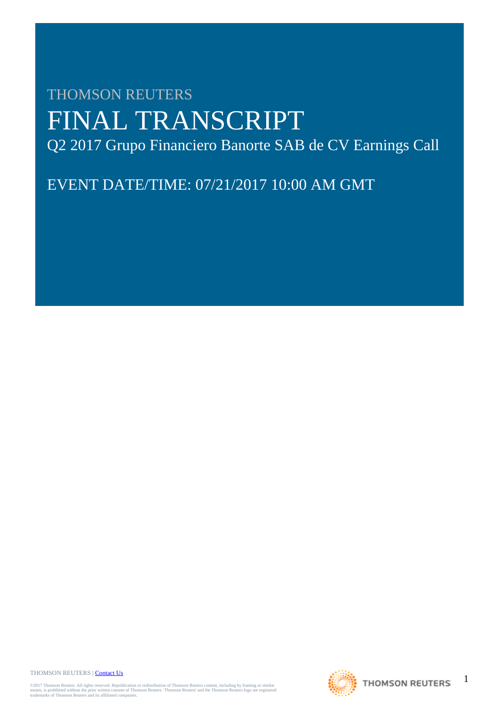# THOMSON REUTERS FINAL TRANSCRIPT Q2 2017 Grupo Financiero Banorte SAB de CV Earnings Call

EVENT DATE/TIME: 07/21/2017 10:00 AM GMT

THOMSON REUTERS | [Contact Us](http://financial.thomsonreuters.com/en/contact-us.html)

©2017 Thomson Reuters. All rights reserved. Republication or redistribution of Thomson Reuters content, including by framing or similar<br>means, is prohibited without the prior written consent of Thomson Reuters. "Thomson Re



1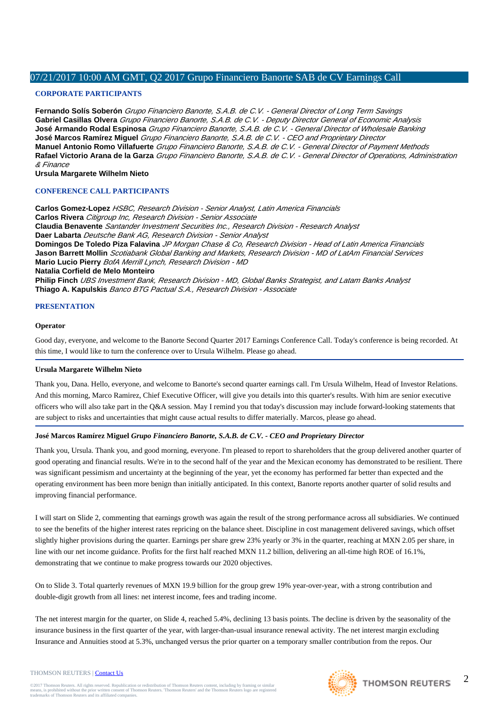# **CORPORATE PARTICIPANTS**

**Fernando Solís Soberón** Grupo Financiero Banorte, S.A.B. de C.V. - General Director of Long Term Savings **Gabriel Casillas Olvera** Grupo Financiero Banorte, S.A.B. de C.V. - Deputy Director General of Economic Analysis **José Armando Rodal Espinosa** Grupo Financiero Banorte, S.A.B. de C.V. - General Director of Wholesale Banking **José Marcos Ramírez Miguel** Grupo Financiero Banorte, S.A.B. de C.V. - CEO and Proprietary Director **Manuel Antonio Romo Villafuerte** Grupo Financiero Banorte, S.A.B. de C.V. - General Director of Payment Methods **Rafael Victorio Arana de la Garza** Grupo Financiero Banorte, S.A.B. de C.V. - General Director of Operations, Administration & Finance

**Ursula Margarete Wilhelm Nieto**

# **CONFERENCE CALL PARTICIPANTS**

**Carlos Gomez-Lopez** HSBC, Research Division - Senior Analyst, Latin America Financials **Carlos Rivera** Citigroup Inc, Research Division - Senior Associate **Claudia Benavente** Santander Investment Securities Inc., Research Division - Research Analyst **Daer Labarta** Deutsche Bank AG, Research Division - Senior Analyst **Domingos De Toledo Piza Falavina** JP Morgan Chase & Co, Research Division - Head of Latin America Financials **Jason Barrett Mollin** Scotiabank Global Banking and Markets, Research Division - MD of LatAm Financial Services **Mario Lucio Pierry** BofA Merrill Lynch, Research Division - MD **Natalia Corfield de Melo Monteiro Philip Finch** UBS Investment Bank, Research Division - MD, Global Banks Strategist, and Latam Banks Analyst **Thiago A. Kapulskis** Banco BTG Pactual S.A., Research Division - Associate

# **PRESENTATION**

# **Operator**

Good day, everyone, and welcome to the Banorte Second Quarter 2017 Earnings Conference Call. Today's conference is being recorded. At this time, I would like to turn the conference over to Ursula Wilhelm. Please go ahead.

# **Ursula Margarete Wilhelm Nieto**

Thank you, Dana. Hello, everyone, and welcome to Banorte's second quarter earnings call. I'm Ursula Wilhelm, Head of Investor Relations. And this morning, Marco Ramirez, Chief Executive Officer, will give you details into this quarter's results. With him are senior executive officers who will also take part in the Q&A session. May I remind you that today's discussion may include forward-looking statements that are subject to risks and uncertainties that might cause actual results to differ materially. Marcos, please go ahead.

# **José Marcos Ramírez Miguel** *Grupo Financiero Banorte, S.A.B. de C.V. - CEO and Proprietary Director*

Thank you, Ursula. Thank you, and good morning, everyone. I'm pleased to report to shareholders that the group delivered another quarter of good operating and financial results. We're in to the second half of the year and the Mexican economy has demonstrated to be resilient. There was significant pessimism and uncertainty at the beginning of the year, yet the economy has performed far better than expected and the operating environment has been more benign than initially anticipated. In this context, Banorte reports another quarter of solid results and improving financial performance.

I will start on Slide 2, commenting that earnings growth was again the result of the strong performance across all subsidiaries. We continued to see the benefits of the higher interest rates repricing on the balance sheet. Discipline in cost management delivered savings, which offset slightly higher provisions during the quarter. Earnings per share grew 23% yearly or 3% in the quarter, reaching at MXN 2.05 per share, in line with our net income guidance. Profits for the first half reached MXN 11.2 billion, delivering an all-time high ROE of 16.1%, demonstrating that we continue to make progress towards our 2020 objectives.

On to Slide 3. Total quarterly revenues of MXN 19.9 billion for the group grew 19% year-over-year, with a strong contribution and double-digit growth from all lines: net interest income, fees and trading income.

The net interest margin for the quarter, on Slide 4, reached 5.4%, declining 13 basis points. The decline is driven by the seasonality of the insurance business in the first quarter of the year, with larger-than-usual insurance renewal activity. The net interest margin excluding Insurance and Annuities stood at 5.3%, unchanged versus the prior quarter on a temporary smaller contribution from the repos. Our

©2017 Thomson Reuters. All rights reserved. Republication or redistribution of Thomson Reuters content, including by framing or similar<br>means, is prohibited without the prior written consent of Thomson Reuters. "Thomson Re

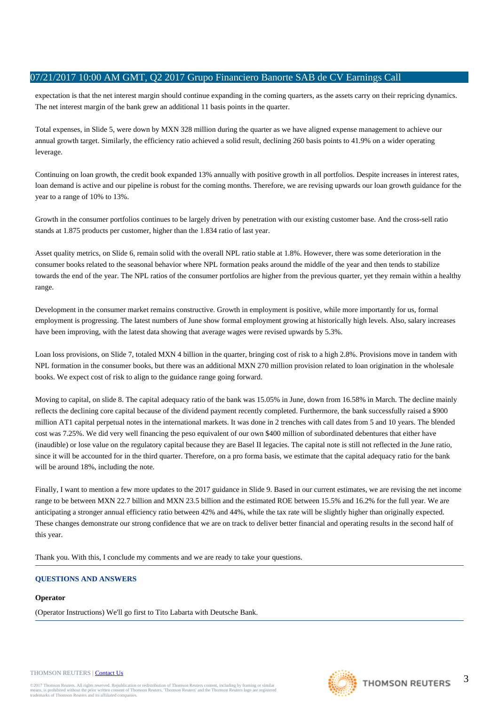expectation is that the net interest margin should continue expanding in the coming quarters, as the assets carry on their repricing dynamics. The net interest margin of the bank grew an additional 11 basis points in the quarter.

Total expenses, in Slide 5, were down by MXN 328 million during the quarter as we have aligned expense management to achieve our annual growth target. Similarly, the efficiency ratio achieved a solid result, declining 260 basis points to 41.9% on a wider operating leverage.

Continuing on loan growth, the credit book expanded 13% annually with positive growth in all portfolios. Despite increases in interest rates, loan demand is active and our pipeline is robust for the coming months. Therefore, we are revising upwards our loan growth guidance for the year to a range of 10% to 13%.

Growth in the consumer portfolios continues to be largely driven by penetration with our existing customer base. And the cross-sell ratio stands at 1.875 products per customer, higher than the 1.834 ratio of last year.

Asset quality metrics, on Slide 6, remain solid with the overall NPL ratio stable at 1.8%. However, there was some deterioration in the consumer books related to the seasonal behavior where NPL formation peaks around the middle of the year and then tends to stabilize towards the end of the year. The NPL ratios of the consumer portfolios are higher from the previous quarter, yet they remain within a healthy range.

Development in the consumer market remains constructive. Growth in employment is positive, while more importantly for us, formal employment is progressing. The latest numbers of June show formal employment growing at historically high levels. Also, salary increases have been improving, with the latest data showing that average wages were revised upwards by 5.3%.

Loan loss provisions, on Slide 7, totaled MXN 4 billion in the quarter, bringing cost of risk to a high 2.8%. Provisions move in tandem with NPL formation in the consumer books, but there was an additional MXN 270 million provision related to loan origination in the wholesale books. We expect cost of risk to align to the guidance range going forward.

Moving to capital, on slide 8. The capital adequacy ratio of the bank was 15.05% in June, down from 16.58% in March. The decline mainly reflects the declining core capital because of the dividend payment recently completed. Furthermore, the bank successfully raised a \$900 million AT1 capital perpetual notes in the international markets. It was done in 2 trenches with call dates from 5 and 10 years. The blended cost was 7.25%. We did very well financing the peso equivalent of our own \$400 million of subordinated debentures that either have (inaudible) or lose value on the regulatory capital because they are Basel II legacies. The capital note is still not reflected in the June ratio, since it will be accounted for in the third quarter. Therefore, on a pro forma basis, we estimate that the capital adequacy ratio for the bank will be around 18%, including the note.

Finally, I want to mention a few more updates to the 2017 guidance in Slide 9. Based in our current estimates, we are revising the net income range to be between MXN 22.7 billion and MXN 23.5 billion and the estimated ROE between 15.5% and 16.2% for the full year. We are anticipating a stronger annual efficiency ratio between 42% and 44%, while the tax rate will be slightly higher than originally expected. These changes demonstrate our strong confidence that we are on track to deliver better financial and operating results in the second half of this year.

Thank you. With this, I conclude my comments and we are ready to take your questions.

# **QUESTIONS AND ANSWERS**

# **Operator**

(Operator Instructions) We'll go first to Tito Labarta with Deutsche Bank.

## THOMSON REUTERS | [Contact Us](http://financial.thomsonreuters.com/en/contact-us.html)

@2017 Thomson Reuters. All rights reserved. Republication or redistribution of Thomson Reuters content, including by framing or similar<br>means, is prohibited without the prior written consent of Thomson Reuters. 'Thomson Re means, is prohibited without the prior written consent trademarks of Thomson Reuters and its affiliated comp



3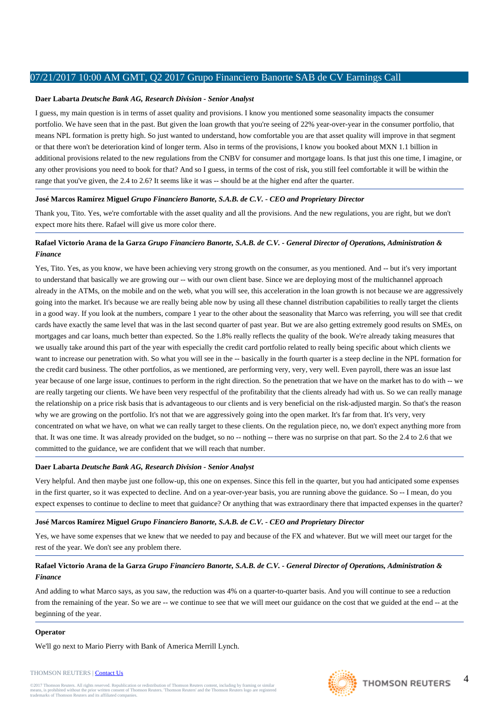## **Daer Labarta** *Deutsche Bank AG, Research Division - Senior Analyst*

I guess, my main question is in terms of asset quality and provisions. I know you mentioned some seasonality impacts the consumer portfolio. We have seen that in the past. But given the loan growth that you're seeing of 22% year-over-year in the consumer portfolio, that means NPL formation is pretty high. So just wanted to understand, how comfortable you are that asset quality will improve in that segment or that there won't be deterioration kind of longer term. Also in terms of the provisions, I know you booked about MXN 1.1 billion in additional provisions related to the new regulations from the CNBV for consumer and mortgage loans. Is that just this one time, I imagine, or any other provisions you need to book for that? And so I guess, in terms of the cost of risk, you still feel comfortable it will be within the range that you've given, the 2.4 to 2.6? It seems like it was -- should be at the higher end after the quarter.

# **José Marcos Ramírez Miguel** *Grupo Financiero Banorte, S.A.B. de C.V. - CEO and Proprietary Director*

Thank you, Tito. Yes, we're comfortable with the asset quality and all the provisions. And the new regulations, you are right, but we don't expect more hits there. Rafael will give us more color there.

# **Rafael Victorio Arana de la Garza** *Grupo Financiero Banorte, S.A.B. de C.V. - General Director of Operations, Administration & Finance*

Yes, Tito. Yes, as you know, we have been achieving very strong growth on the consumer, as you mentioned. And -- but it's very important to understand that basically we are growing our -- with our own client base. Since we are deploying most of the multichannel approach already in the ATMs, on the mobile and on the web, what you will see, this acceleration in the loan growth is not because we are aggressively going into the market. It's because we are really being able now by using all these channel distribution capabilities to really target the clients in a good way. If you look at the numbers, compare 1 year to the other about the seasonality that Marco was referring, you will see that credit cards have exactly the same level that was in the last second quarter of past year. But we are also getting extremely good results on SMEs, on mortgages and car loans, much better than expected. So the 1.8% really reflects the quality of the book. We're already taking measures that we usually take around this part of the year with especially the credit card portfolio related to really being specific about which clients we want to increase our penetration with. So what you will see in the -- basically in the fourth quarter is a steep decline in the NPL formation for the credit card business. The other portfolios, as we mentioned, are performing very, very, very well. Even payroll, there was an issue last year because of one large issue, continues to perform in the right direction. So the penetration that we have on the market has to do with -- we are really targeting our clients. We have been very respectful of the profitability that the clients already had with us. So we can really manage the relationship on a price risk basis that is advantageous to our clients and is very beneficial on the risk-adjusted margin. So that's the reason why we are growing on the portfolio. It's not that we are aggressively going into the open market. It's far from that. It's very, very concentrated on what we have, on what we can really target to these clients. On the regulation piece, no, we don't expect anything more from that. It was one time. It was already provided on the budget, so no -- nothing -- there was no surprise on that part. So the 2.4 to 2.6 that we committed to the guidance, we are confident that we will reach that number.

# **Daer Labarta** *Deutsche Bank AG, Research Division - Senior Analyst*

Very helpful. And then maybe just one follow-up, this one on expenses. Since this fell in the quarter, but you had anticipated some expenses in the first quarter, so it was expected to decline. And on a year-over-year basis, you are running above the guidance. So -- I mean, do you expect expenses to continue to decline to meet that guidance? Or anything that was extraordinary there that impacted expenses in the quarter?

# **José Marcos Ramírez Miguel** *Grupo Financiero Banorte, S.A.B. de C.V. - CEO and Proprietary Director*

Yes, we have some expenses that we knew that we needed to pay and because of the FX and whatever. But we will meet our target for the rest of the year. We don't see any problem there.

# **Rafael Victorio Arana de la Garza** *Grupo Financiero Banorte, S.A.B. de C.V. - General Director of Operations, Administration & Finance*

And adding to what Marco says, as you saw, the reduction was 4% on a quarter-to-quarter basis. And you will continue to see a reduction from the remaining of the year. So we are -- we continue to see that we will meet our guidance on the cost that we guided at the end -- at the beginning of the year.

# **Operator**

We'll go next to Mario Pierry with Bank of America Merrill Lynch.



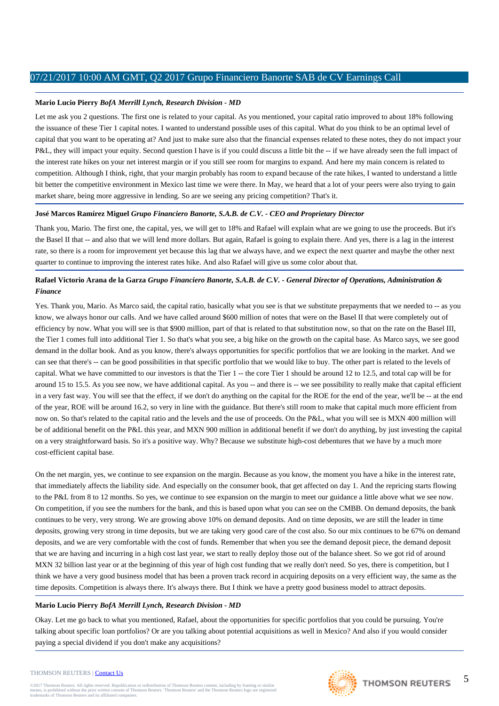## **Mario Lucio Pierry** *BofA Merrill Lynch, Research Division - MD*

Let me ask you 2 questions. The first one is related to your capital. As you mentioned, your capital ratio improved to about 18% following the issuance of these Tier 1 capital notes. I wanted to understand possible uses of this capital. What do you think to be an optimal level of capital that you want to be operating at? And just to make sure also that the financial expenses related to these notes, they do not impact your P&L, they will impact your equity. Second question I have is if you could discuss a little bit the -- if we have already seen the full impact of the interest rate hikes on your net interest margin or if you still see room for margins to expand. And here my main concern is related to competition. Although I think, right, that your margin probably has room to expand because of the rate hikes, I wanted to understand a little bit better the competitive environment in Mexico last time we were there. In May, we heard that a lot of your peers were also trying to gain market share, being more aggressive in lending. So are we seeing any pricing competition? That's it.

### **José Marcos Ramírez Miguel** *Grupo Financiero Banorte, S.A.B. de C.V. - CEO and Proprietary Director*

Thank you, Mario. The first one, the capital, yes, we will get to 18% and Rafael will explain what are we going to use the proceeds. But it's the Basel II that -- and also that we will lend more dollars. But again, Rafael is going to explain there. And yes, there is a lag in the interest rate, so there is a room for improvement yet because this lag that we always have, and we expect the next quarter and maybe the other next quarter to continue to improving the interest rates hike. And also Rafael will give us some color about that.

# **Rafael Victorio Arana de la Garza** *Grupo Financiero Banorte, S.A.B. de C.V. - General Director of Operations, Administration & Finance*

Yes. Thank you, Mario. As Marco said, the capital ratio, basically what you see is that we substitute prepayments that we needed to -- as you know, we always honor our calls. And we have called around \$600 million of notes that were on the Basel II that were completely out of efficiency by now. What you will see is that \$900 million, part of that is related to that substitution now, so that on the rate on the Basel III, the Tier 1 comes full into additional Tier 1. So that's what you see, a big hike on the growth on the capital base. As Marco says, we see good demand in the dollar book. And as you know, there's always opportunities for specific portfolios that we are looking in the market. And we can see that there's -- can be good possibilities in that specific portfolio that we would like to buy. The other part is related to the levels of capital. What we have committed to our investors is that the Tier 1 -- the core Tier 1 should be around 12 to 12.5, and total cap will be for around 15 to 15.5. As you see now, we have additional capital. As you -- and there is -- we see possibility to really make that capital efficient in a very fast way. You will see that the effect, if we don't do anything on the capital for the ROE for the end of the year, we'll be -- at the end of the year, ROE will be around 16.2, so very in line with the guidance. But there's still room to make that capital much more efficient from now on. So that's related to the capital ratio and the levels and the use of proceeds. On the P&L, what you will see is MXN 400 million will be of additional benefit on the P&L this year, and MXN 900 million in additional benefit if we don't do anything, by just investing the capital on a very straightforward basis. So it's a positive way. Why? Because we substitute high-cost debentures that we have by a much more cost-efficient capital base.

On the net margin, yes, we continue to see expansion on the margin. Because as you know, the moment you have a hike in the interest rate, that immediately affects the liability side. And especially on the consumer book, that get affected on day 1. And the repricing starts flowing to the P&L from 8 to 12 months. So yes, we continue to see expansion on the margin to meet our guidance a little above what we see now. On competition, if you see the numbers for the bank, and this is based upon what you can see on the CMBB. On demand deposits, the bank continues to be very, very strong. We are growing above 10% on demand deposits. And on time deposits, we are still the leader in time deposits, growing very strong in time deposits, but we are taking very good care of the cost also. So our mix continues to be 67% on demand deposits, and we are very comfortable with the cost of funds. Remember that when you see the demand deposit piece, the demand deposit that we are having and incurring in a high cost last year, we start to really deploy those out of the balance sheet. So we got rid of around MXN 32 billion last year or at the beginning of this year of high cost funding that we really don't need. So yes, there is competition, but I think we have a very good business model that has been a proven track record in acquiring deposits on a very efficient way, the same as the time deposits. Competition is always there. It's always there. But I think we have a pretty good business model to attract deposits.

#### **Mario Lucio Pierry** *BofA Merrill Lynch, Research Division - MD*

Okay. Let me go back to what you mentioned, Rafael, about the opportunities for specific portfolios that you could be pursuing. You're talking about specific loan portfolios? Or are you talking about potential acquisitions as well in Mexico? And also if you would consider paying a special dividend if you don't make any acquisitions?

#### THOMSON REUTERS | [Contact Us](http://financial.thomsonreuters.com/en/contact-us.html)

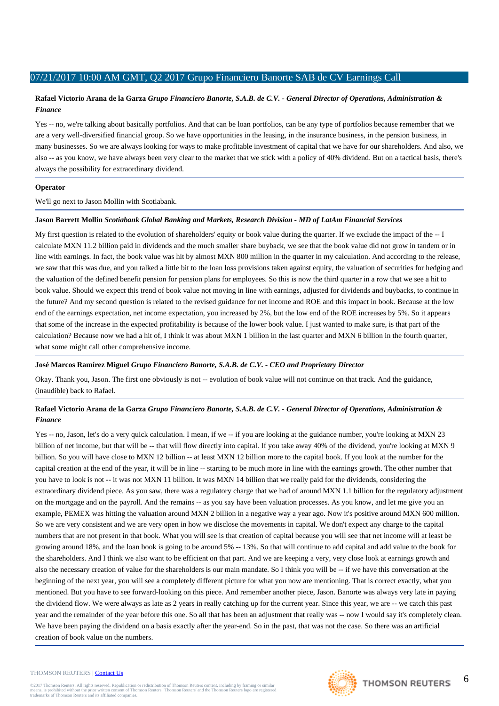# **Rafael Victorio Arana de la Garza** *Grupo Financiero Banorte, S.A.B. de C.V. - General Director of Operations, Administration & Finance*

Yes -- no, we're talking about basically portfolios. And that can be loan portfolios, can be any type of portfolios because remember that we are a very well-diversified financial group. So we have opportunities in the leasing, in the insurance business, in the pension business, in many businesses. So we are always looking for ways to make profitable investment of capital that we have for our shareholders. And also, we also -- as you know, we have always been very clear to the market that we stick with a policy of 40% dividend. But on a tactical basis, there's always the possibility for extraordinary dividend.

## **Operator**

We'll go next to Jason Mollin with Scotiabank.

### **Jason Barrett Mollin** *Scotiabank Global Banking and Markets, Research Division - MD of LatAm Financial Services*

My first question is related to the evolution of shareholders' equity or book value during the quarter. If we exclude the impact of the -- I calculate MXN 11.2 billion paid in dividends and the much smaller share buyback, we see that the book value did not grow in tandem or in line with earnings. In fact, the book value was hit by almost MXN 800 million in the quarter in my calculation. And according to the release, we saw that this was due, and you talked a little bit to the loan loss provisions taken against equity, the valuation of securities for hedging and the valuation of the defined benefit pension for pension plans for employees. So this is now the third quarter in a row that we see a hit to book value. Should we expect this trend of book value not moving in line with earnings, adjusted for dividends and buybacks, to continue in the future? And my second question is related to the revised guidance for net income and ROE and this impact in book. Because at the low end of the earnings expectation, net income expectation, you increased by 2%, but the low end of the ROE increases by 5%. So it appears that some of the increase in the expected profitability is because of the lower book value. I just wanted to make sure, is that part of the calculation? Because now we had a hit of, I think it was about MXN 1 billion in the last quarter and MXN 6 billion in the fourth quarter, what some might call other comprehensive income.

# **José Marcos Ramírez Miguel** *Grupo Financiero Banorte, S.A.B. de C.V. - CEO and Proprietary Director*

Okay. Thank you, Jason. The first one obviously is not -- evolution of book value will not continue on that track. And the guidance, (inaudible) back to Rafael.

# **Rafael Victorio Arana de la Garza** *Grupo Financiero Banorte, S.A.B. de C.V. - General Director of Operations, Administration & Finance*

Yes -- no, Jason, let's do a very quick calculation. I mean, if we -- if you are looking at the guidance number, you're looking at MXN 23 billion of net income, but that will be -- that will flow directly into capital. If you take away 40% of the dividend, you're looking at MXN 9 billion. So you will have close to MXN 12 billion -- at least MXN 12 billion more to the capital book. If you look at the number for the capital creation at the end of the year, it will be in line -- starting to be much more in line with the earnings growth. The other number that you have to look is not -- it was not MXN 11 billion. It was MXN 14 billion that we really paid for the dividends, considering the extraordinary dividend piece. As you saw, there was a regulatory charge that we had of around MXN 1.1 billion for the regulatory adjustment on the mortgage and on the payroll. And the remains -- as you say have been valuation processes. As you know, and let me give you an example, PEMEX was hitting the valuation around MXN 2 billion in a negative way a year ago. Now it's positive around MXN 600 million. So we are very consistent and we are very open in how we disclose the movements in capital. We don't expect any charge to the capital numbers that are not present in that book. What you will see is that creation of capital because you will see that net income will at least be growing around 18%, and the loan book is going to be around 5% -- 13%. So that will continue to add capital and add value to the book for the shareholders. And I think we also want to be efficient on that part. And we are keeping a very, very close look at earnings growth and also the necessary creation of value for the shareholders is our main mandate. So I think you will be -- if we have this conversation at the beginning of the next year, you will see a completely different picture for what you now are mentioning. That is correct exactly, what you mentioned. But you have to see forward-looking on this piece. And remember another piece, Jason. Banorte was always very late in paying the dividend flow. We were always as late as 2 years in really catching up for the current year. Since this year, we are -- we catch this past year and the remainder of the year before this one. So all that has been an adjustment that really was -- now I would say it's completely clean. We have been paying the dividend on a basis exactly after the year-end. So in the past, that was not the case. So there was an artificial creation of book value on the numbers.

#### THOMSON REUTERS | [Contact Us](http://financial.thomsonreuters.com/en/contact-us.html)

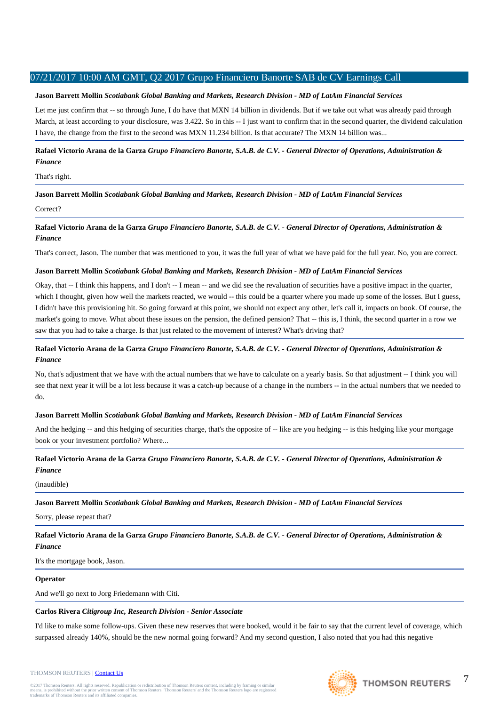# **Jason Barrett Mollin** *Scotiabank Global Banking and Markets, Research Division - MD of LatAm Financial Services*

Let me just confirm that -- so through June, I do have that MXN 14 billion in dividends. But if we take out what was already paid through March, at least according to your disclosure, was 3.422. So in this -- I just want to confirm that in the second quarter, the dividend calculation I have, the change from the first to the second was MXN 11.234 billion. Is that accurate? The MXN 14 billion was...

**Rafael Victorio Arana de la Garza** *Grupo Financiero Banorte, S.A.B. de C.V. - General Director of Operations, Administration & Finance*

## That's right.

**Jason Barrett Mollin** *Scotiabank Global Banking and Markets, Research Division - MD of LatAm Financial Services*

### Correct?

**Rafael Victorio Arana de la Garza** *Grupo Financiero Banorte, S.A.B. de C.V. - General Director of Operations, Administration & Finance*

That's correct, Jason. The number that was mentioned to you, it was the full year of what we have paid for the full year. No, you are correct.

## **Jason Barrett Mollin** *Scotiabank Global Banking and Markets, Research Division - MD of LatAm Financial Services*

Okay, that -- I think this happens, and I don't -- I mean -- and we did see the revaluation of securities have a positive impact in the quarter, which I thought, given how well the markets reacted, we would -- this could be a quarter where you made up some of the losses. But I guess, I didn't have this provisioning hit. So going forward at this point, we should not expect any other, let's call it, impacts on book. Of course, the market's going to move. What about these issues on the pension, the defined pension? That -- this is, I think, the second quarter in a row we saw that you had to take a charge. Is that just related to the movement of interest? What's driving that?

# **Rafael Victorio Arana de la Garza** *Grupo Financiero Banorte, S.A.B. de C.V. - General Director of Operations, Administration & Finance*

No, that's adjustment that we have with the actual numbers that we have to calculate on a yearly basis. So that adjustment -- I think you will see that next year it will be a lot less because it was a catch-up because of a change in the numbers -- in the actual numbers that we needed to do.

# **Jason Barrett Mollin** *Scotiabank Global Banking and Markets, Research Division - MD of LatAm Financial Services*

And the hedging -- and this hedging of securities charge, that's the opposite of -- like are you hedging -- is this hedging like your mortgage book or your investment portfolio? Where...

**Rafael Victorio Arana de la Garza** *Grupo Financiero Banorte, S.A.B. de C.V. - General Director of Operations, Administration & Finance*

#### (inaudible)

**Jason Barrett Mollin** *Scotiabank Global Banking and Markets, Research Division - MD of LatAm Financial Services*

Sorry, please repeat that?

**Rafael Victorio Arana de la Garza** *Grupo Financiero Banorte, S.A.B. de C.V. - General Director of Operations, Administration & Finance*

It's the mortgage book, Jason.

#### **Operator**

And we'll go next to Jorg Friedemann with Citi.

# **Carlos Rivera** *Citigroup Inc, Research Division - Senior Associate*

I'd like to make some follow-ups. Given these new reserves that were booked, would it be fair to say that the current level of coverage, which surpassed already 140%, should be the new normal going forward? And my second question, I also noted that you had this negative

@2017 Thomson Reuters. All rights reserved. Republication or redistribution of Thomson Reuters content, including by framing or similar<br>means, is prohibited without the prior written consent of Thomson Reuters. 'Thomson Re means, is prohibited without the prior written consent trademarks of Thomson Reuters and its affiliated comp



7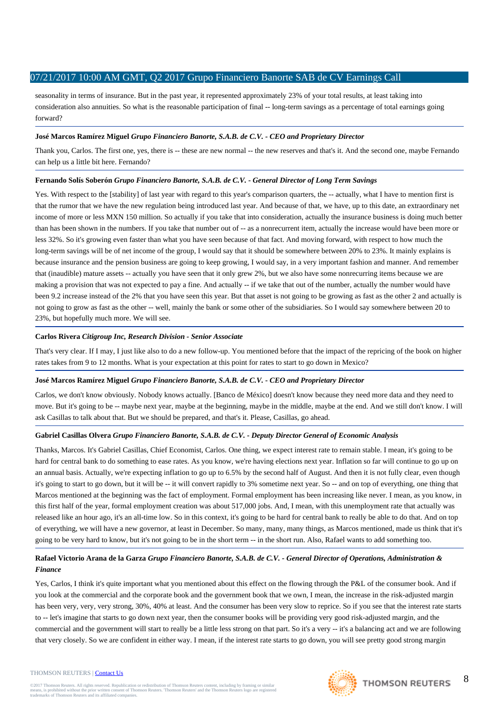seasonality in terms of insurance. But in the past year, it represented approximately 23% of your total results, at least taking into consideration also annuities. So what is the reasonable participation of final -- long-term savings as a percentage of total earnings going forward?

# **José Marcos Ramírez Miguel** *Grupo Financiero Banorte, S.A.B. de C.V. - CEO and Proprietary Director*

Thank you, Carlos. The first one, yes, there is -- these are new normal -- the new reserves and that's it. And the second one, maybe Fernando can help us a little bit here. Fernando?

# **Fernando Solís Soberón** *Grupo Financiero Banorte, S.A.B. de C.V. - General Director of Long Term Savings*

Yes. With respect to the [stability] of last year with regard to this year's comparison quarters, the -- actually, what I have to mention first is that the rumor that we have the new regulation being introduced last year. And because of that, we have, up to this date, an extraordinary net income of more or less MXN 150 million. So actually if you take that into consideration, actually the insurance business is doing much better than has been shown in the numbers. If you take that number out of -- as a nonrecurrent item, actually the increase would have been more or less 32%. So it's growing even faster than what you have seen because of that fact. And moving forward, with respect to how much the long-term savings will be of net income of the group, I would say that it should be somewhere between 20% to 23%. It mainly explains is because insurance and the pension business are going to keep growing, I would say, in a very important fashion and manner. And remember that (inaudible) mature assets -- actually you have seen that it only grew 2%, but we also have some nonrecurring items because we are making a provision that was not expected to pay a fine. And actually -- if we take that out of the number, actually the number would have been 9.2 increase instead of the 2% that you have seen this year. But that asset is not going to be growing as fast as the other 2 and actually is not going to grow as fast as the other -- well, mainly the bank or some other of the subsidiaries. So I would say somewhere between 20 to 23%, but hopefully much more. We will see.

# **Carlos Rivera** *Citigroup Inc, Research Division - Senior Associate*

That's very clear. If I may, I just like also to do a new follow-up. You mentioned before that the impact of the repricing of the book on higher rates takes from 9 to 12 months. What is your expectation at this point for rates to start to go down in Mexico?

# **José Marcos Ramírez Miguel** *Grupo Financiero Banorte, S.A.B. de C.V. - CEO and Proprietary Director*

Carlos, we don't know obviously. Nobody knows actually. [Banco de México] doesn't know because they need more data and they need to move. But it's going to be -- maybe next year, maybe at the beginning, maybe in the middle, maybe at the end. And we still don't know. I will ask Casillas to talk about that. But we should be prepared, and that's it. Please, Casillas, go ahead.

# **Gabriel Casillas Olvera** *Grupo Financiero Banorte, S.A.B. de C.V. - Deputy Director General of Economic Analysis*

Thanks, Marcos. It's Gabriel Casillas, Chief Economist, Carlos. One thing, we expect interest rate to remain stable. I mean, it's going to be hard for central bank to do something to ease rates. As you know, we're having elections next year. Inflation so far will continue to go up on an annual basis. Actually, we're expecting inflation to go up to 6.5% by the second half of August. And then it is not fully clear, even though it's going to start to go down, but it will be -- it will convert rapidly to 3% sometime next year. So -- and on top of everything, one thing that Marcos mentioned at the beginning was the fact of employment. Formal employment has been increasing like never. I mean, as you know, in this first half of the year, formal employment creation was about 517,000 jobs. And, I mean, with this unemployment rate that actually was released like an hour ago, it's an all-time low. So in this context, it's going to be hard for central bank to really be able to do that. And on top of everything, we will have a new governor, at least in December. So many, many, many things, as Marcos mentioned, made us think that it's going to be very hard to know, but it's not going to be in the short term -- in the short run. Also, Rafael wants to add something too.

# **Rafael Victorio Arana de la Garza** *Grupo Financiero Banorte, S.A.B. de C.V. - General Director of Operations, Administration & Finance*

Yes, Carlos, I think it's quite important what you mentioned about this effect on the flowing through the P&L of the consumer book. And if you look at the commercial and the corporate book and the government book that we own, I mean, the increase in the risk-adjusted margin has been very, very, very strong, 30%, 40% at least. And the consumer has been very slow to reprice. So if you see that the interest rate starts to -- let's imagine that starts to go down next year, then the consumer books will be providing very good risk-adjusted margin, and the commercial and the government will start to really be a little less strong on that part. So it's a very -- it's a balancing act and we are following that very closely. So we are confident in either way. I mean, if the interest rate starts to go down, you will see pretty good strong margin

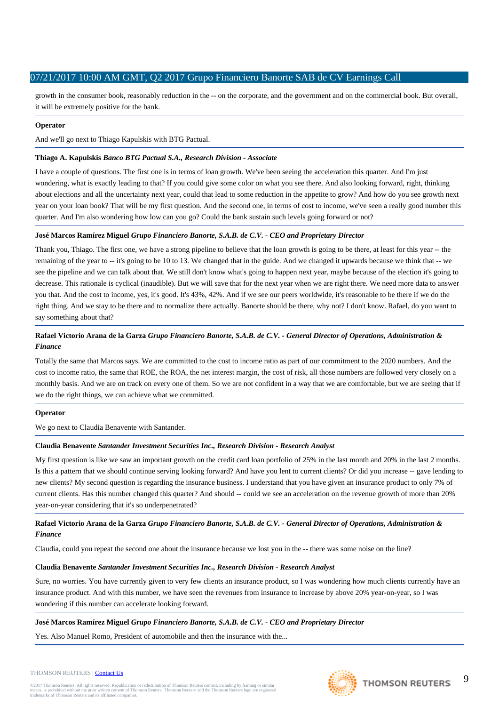growth in the consumer book, reasonably reduction in the -- on the corporate, and the government and on the commercial book. But overall, it will be extremely positive for the bank.

# **Operator**

And we'll go next to Thiago Kapulskis with BTG Pactual.

# **Thiago A. Kapulskis** *Banco BTG Pactual S.A., Research Division - Associate*

I have a couple of questions. The first one is in terms of loan growth. We've been seeing the acceleration this quarter. And I'm just wondering, what is exactly leading to that? If you could give some color on what you see there. And also looking forward, right, thinking about elections and all the uncertainty next year, could that lead to some reduction in the appetite to grow? And how do you see growth next year on your loan book? That will be my first question. And the second one, in terms of cost to income, we've seen a really good number this quarter. And I'm also wondering how low can you go? Could the bank sustain such levels going forward or not?

# **José Marcos Ramírez Miguel** *Grupo Financiero Banorte, S.A.B. de C.V. - CEO and Proprietary Director*

Thank you, Thiago. The first one, we have a strong pipeline to believe that the loan growth is going to be there, at least for this year -- the remaining of the year to -- it's going to be 10 to 13. We changed that in the guide. And we changed it upwards because we think that -- we see the pipeline and we can talk about that. We still don't know what's going to happen next year, maybe because of the election it's going to decrease. This rationale is cyclical (inaudible). But we will save that for the next year when we are right there. We need more data to answer you that. And the cost to income, yes, it's good. It's 43%, 42%. And if we see our peers worldwide, it's reasonable to be there if we do the right thing. And we stay to be there and to normalize there actually. Banorte should be there, why not? I don't know. Rafael, do you want to say something about that?

# **Rafael Victorio Arana de la Garza** *Grupo Financiero Banorte, S.A.B. de C.V. - General Director of Operations, Administration & Finance*

Totally the same that Marcos says. We are committed to the cost to income ratio as part of our commitment to the 2020 numbers. And the cost to income ratio, the same that ROE, the ROA, the net interest margin, the cost of risk, all those numbers are followed very closely on a monthly basis. And we are on track on every one of them. So we are not confident in a way that we are comfortable, but we are seeing that if we do the right things, we can achieve what we committed.

# **Operator**

We go next to Claudia Benavente with Santander.

# **Claudia Benavente** *Santander Investment Securities Inc., Research Division - Research Analyst*

My first question is like we saw an important growth on the credit card loan portfolio of 25% in the last month and 20% in the last 2 months. Is this a pattern that we should continue serving looking forward? And have you lent to current clients? Or did you increase -- gave lending to new clients? My second question is regarding the insurance business. I understand that you have given an insurance product to only 7% of current clients. Has this number changed this quarter? And should -- could we see an acceleration on the revenue growth of more than 20% year-on-year considering that it's so underpenetrated?

# **Rafael Victorio Arana de la Garza** *Grupo Financiero Banorte, S.A.B. de C.V. - General Director of Operations, Administration & Finance*

Claudia, could you repeat the second one about the insurance because we lost you in the -- there was some noise on the line?

# **Claudia Benavente** *Santander Investment Securities Inc., Research Division - Research Analyst*

Sure, no worries. You have currently given to very few clients an insurance product, so I was wondering how much clients currently have an insurance product. And with this number, we have seen the revenues from insurance to increase by above 20% year-on-year, so I was wondering if this number can accelerate looking forward.

# **José Marcos Ramírez Miguel** *Grupo Financiero Banorte, S.A.B. de C.V. - CEO and Proprietary Director*

Yes. Also Manuel Romo, President of automobile and then the insurance with the...



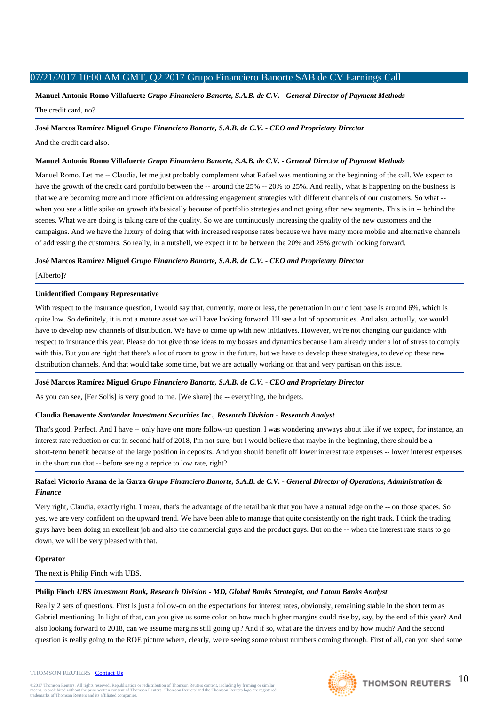**Manuel Antonio Romo Villafuerte** *Grupo Financiero Banorte, S.A.B. de C.V. - General Director of Payment Methods* The credit card, no?

### **José Marcos Ramírez Miguel** *Grupo Financiero Banorte, S.A.B. de C.V. - CEO and Proprietary Director*

And the credit card also.

## **Manuel Antonio Romo Villafuerte** *Grupo Financiero Banorte, S.A.B. de C.V. - General Director of Payment Methods*

Manuel Romo. Let me -- Claudia, let me just probably complement what Rafael was mentioning at the beginning of the call. We expect to have the growth of the credit card portfolio between the -- around the 25% -- 20% to 25%. And really, what is happening on the business is that we are becoming more and more efficient on addressing engagement strategies with different channels of our customers. So what - when you see a little spike on growth it's basically because of portfolio strategies and not going after new segments. This is in -- behind the scenes. What we are doing is taking care of the quality. So we are continuously increasing the quality of the new customers and the campaigns. And we have the luxury of doing that with increased response rates because we have many more mobile and alternative channels of addressing the customers. So really, in a nutshell, we expect it to be between the 20% and 25% growth looking forward.

# **José Marcos Ramírez Miguel** *Grupo Financiero Banorte, S.A.B. de C.V. - CEO and Proprietary Director*

[Alberto]?

### **Unidentified Company Representative**

With respect to the insurance question, I would say that, currently, more or less, the penetration in our client base is around 6%, which is quite low. So definitely, it is not a mature asset we will have looking forward. I'll see a lot of opportunities. And also, actually, we would have to develop new channels of distribution. We have to come up with new initiatives. However, we're not changing our guidance with respect to insurance this year. Please do not give those ideas to my bosses and dynamics because I am already under a lot of stress to comply with this. But you are right that there's a lot of room to grow in the future, but we have to develop these strategies, to develop these new distribution channels. And that would take some time, but we are actually working on that and very partisan on this issue.

# **José Marcos Ramírez Miguel** *Grupo Financiero Banorte, S.A.B. de C.V. - CEO and Proprietary Director*

As you can see, [Fer Solís] is very good to me. [We share] the -- everything, the budgets.

#### **Claudia Benavente** *Santander Investment Securities Inc., Research Division - Research Analyst*

That's good. Perfect. And I have -- only have one more follow-up question. I was wondering anyways about like if we expect, for instance, an interest rate reduction or cut in second half of 2018, I'm not sure, but I would believe that maybe in the beginning, there should be a short-term benefit because of the large position in deposits. And you should benefit off lower interest rate expenses -- lower interest expenses in the short run that -- before seeing a reprice to low rate, right?

# **Rafael Victorio Arana de la Garza** *Grupo Financiero Banorte, S.A.B. de C.V. - General Director of Operations, Administration & Finance*

Very right, Claudia, exactly right. I mean, that's the advantage of the retail bank that you have a natural edge on the -- on those spaces. So yes, we are very confident on the upward trend. We have been able to manage that quite consistently on the right track. I think the trading guys have been doing an excellent job and also the commercial guys and the product guys. But on the -- when the interest rate starts to go down, we will be very pleased with that.

#### **Operator**

The next is Philip Finch with UBS.

# **Philip Finch** *UBS Investment Bank, Research Division - MD, Global Banks Strategist, and Latam Banks Analyst*

Really 2 sets of questions. First is just a follow-on on the expectations for interest rates, obviously, remaining stable in the short term as Gabriel mentioning. In light of that, can you give us some color on how much higher margins could rise by, say, by the end of this year? And also looking forward to 2018, can we assume margins still going up? And if so, what are the drivers and by how much? And the second question is really going to the ROE picture where, clearly, we're seeing some robust numbers coming through. First of all, can you shed some

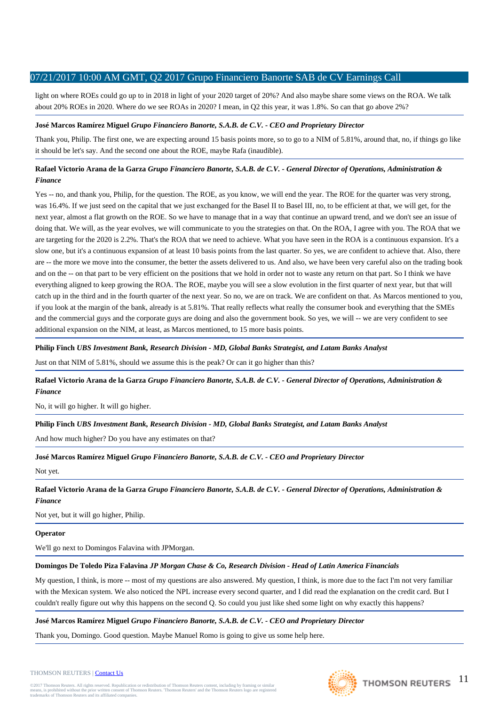light on where ROEs could go up to in 2018 in light of your 2020 target of 20%? And also maybe share some views on the ROA. We talk about 20% ROEs in 2020. Where do we see ROAs in 2020? I mean, in Q2 this year, it was 1.8%. So can that go above 2%?

# **José Marcos Ramírez Miguel** *Grupo Financiero Banorte, S.A.B. de C.V. - CEO and Proprietary Director*

Thank you, Philip. The first one, we are expecting around 15 basis points more, so to go to a NIM of 5.81%, around that, no, if things go like it should be let's say. And the second one about the ROE, maybe Rafa (inaudible).

# **Rafael Victorio Arana de la Garza** *Grupo Financiero Banorte, S.A.B. de C.V. - General Director of Operations, Administration & Finance*

Yes -- no, and thank you, Philip, for the question. The ROE, as you know, we will end the year. The ROE for the quarter was very strong, was 16.4%. If we just seed on the capital that we just exchanged for the Basel II to Basel III, no, to be efficient at that, we will get, for the next year, almost a flat growth on the ROE. So we have to manage that in a way that continue an upward trend, and we don't see an issue of doing that. We will, as the year evolves, we will communicate to you the strategies on that. On the ROA, I agree with you. The ROA that we are targeting for the 2020 is 2.2%. That's the ROA that we need to achieve. What you have seen in the ROA is a continuous expansion. It's a slow one, but it's a continuous expansion of at least 10 basis points from the last quarter. So yes, we are confident to achieve that. Also, there are -- the more we move into the consumer, the better the assets delivered to us. And also, we have been very careful also on the trading book and on the -- on that part to be very efficient on the positions that we hold in order not to waste any return on that part. So I think we have everything aligned to keep growing the ROA. The ROE, maybe you will see a slow evolution in the first quarter of next year, but that will catch up in the third and in the fourth quarter of the next year. So no, we are on track. We are confident on that. As Marcos mentioned to you, if you look at the margin of the bank, already is at 5.81%. That really reflects what really the consumer book and everything that the SMEs and the commercial guys and the corporate guys are doing and also the government book. So yes, we will -- we are very confident to see additional expansion on the NIM, at least, as Marcos mentioned, to 15 more basis points.

# **Philip Finch** *UBS Investment Bank, Research Division - MD, Global Banks Strategist, and Latam Banks Analyst*

Just on that NIM of 5.81%, should we assume this is the peak? Or can it go higher than this?

**Rafael Victorio Arana de la Garza** *Grupo Financiero Banorte, S.A.B. de C.V. - General Director of Operations, Administration & Finance*

No, it will go higher. It will go higher.

# **Philip Finch** *UBS Investment Bank, Research Division - MD, Global Banks Strategist, and Latam Banks Analyst*

And how much higher? Do you have any estimates on that?

**José Marcos Ramírez Miguel** *Grupo Financiero Banorte, S.A.B. de C.V. - CEO and Proprietary Director*

Not yet.

**Rafael Victorio Arana de la Garza** *Grupo Financiero Banorte, S.A.B. de C.V. - General Director of Operations, Administration & Finance*

Not yet, but it will go higher, Philip.

# **Operator**

We'll go next to Domingos Falavina with JPMorgan.

# **Domingos De Toledo Piza Falavina** *JP Morgan Chase & Co, Research Division - Head of Latin America Financials*

My question, I think, is more -- most of my questions are also answered. My question, I think, is more due to the fact I'm not very familiar with the Mexican system. We also noticed the NPL increase every second quarter, and I did read the explanation on the credit card. But I couldn't really figure out why this happens on the second Q. So could you just like shed some light on why exactly this happens?

# **José Marcos Ramírez Miguel** *Grupo Financiero Banorte, S.A.B. de C.V. - CEO and Proprietary Director*

Thank you, Domingo. Good question. Maybe Manuel Romo is going to give us some help here.



THOMSON REUTERS | [Contact Us](http://financial.thomsonreuters.com/en/contact-us.html)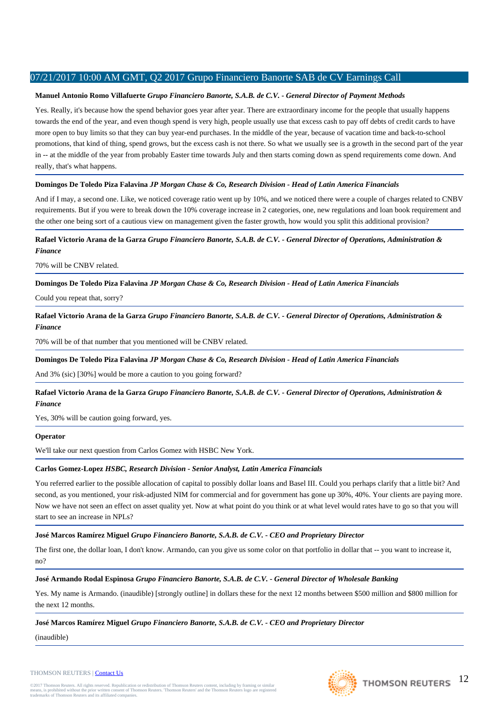# **Manuel Antonio Romo Villafuerte** *Grupo Financiero Banorte, S.A.B. de C.V. - General Director of Payment Methods*

Yes. Really, it's because how the spend behavior goes year after year. There are extraordinary income for the people that usually happens towards the end of the year, and even though spend is very high, people usually use that excess cash to pay off debts of credit cards to have more open to buy limits so that they can buy year-end purchases. In the middle of the year, because of vacation time and back-to-school promotions, that kind of thing, spend grows, but the excess cash is not there. So what we usually see is a growth in the second part of the year in -- at the middle of the year from probably Easter time towards July and then starts coming down as spend requirements come down. And really, that's what happens.

# **Domingos De Toledo Piza Falavina** *JP Morgan Chase & Co, Research Division - Head of Latin America Financials*

And if I may, a second one. Like, we noticed coverage ratio went up by 10%, and we noticed there were a couple of charges related to CNBV requirements. But if you were to break down the 10% coverage increase in 2 categories, one, new regulations and loan book requirement and the other one being sort of a cautious view on management given the faster growth, how would you split this additional provision?

# **Rafael Victorio Arana de la Garza** *Grupo Financiero Banorte, S.A.B. de C.V. - General Director of Operations, Administration & Finance*

70% will be CNBV related.

# **Domingos De Toledo Piza Falavina** *JP Morgan Chase & Co, Research Division - Head of Latin America Financials*

Could you repeat that, sorry?

**Rafael Victorio Arana de la Garza** *Grupo Financiero Banorte, S.A.B. de C.V. - General Director of Operations, Administration & Finance*

70% will be of that number that you mentioned will be CNBV related.

# **Domingos De Toledo Piza Falavina** *JP Morgan Chase & Co, Research Division - Head of Latin America Financials*

And 3% (sic) [30%] would be more a caution to you going forward?

**Rafael Victorio Arana de la Garza** *Grupo Financiero Banorte, S.A.B. de C.V. - General Director of Operations, Administration & Finance*

Yes, 30% will be caution going forward, yes.

# **Operator**

We'll take our next question from Carlos Gomez with HSBC New York.

# **Carlos Gomez-Lopez** *HSBC, Research Division - Senior Analyst, Latin America Financials*

You referred earlier to the possible allocation of capital to possibly dollar loans and Basel III. Could you perhaps clarify that a little bit? And second, as you mentioned, your risk-adjusted NIM for commercial and for government has gone up 30%, 40%. Your clients are paying more. Now we have not seen an effect on asset quality yet. Now at what point do you think or at what level would rates have to go so that you will start to see an increase in NPLs?

**José Marcos Ramírez Miguel** *Grupo Financiero Banorte, S.A.B. de C.V. - CEO and Proprietary Director*

The first one, the dollar loan, I don't know. Armando, can you give us some color on that portfolio in dollar that -- you want to increase it, no?

# **José Armando Rodal Espinosa** *Grupo Financiero Banorte, S.A.B. de C.V. - General Director of Wholesale Banking*

Yes. My name is Armando. (inaudible) [strongly outline] in dollars these for the next 12 months between \$500 million and \$800 million for the next 12 months.

# **José Marcos Ramírez Miguel** *Grupo Financiero Banorte, S.A.B. de C.V. - CEO and Proprietary Director*

(inaudible)

## THOMSON REUTERS | [Contact Us](http://financial.thomsonreuters.com/en/contact-us.html)

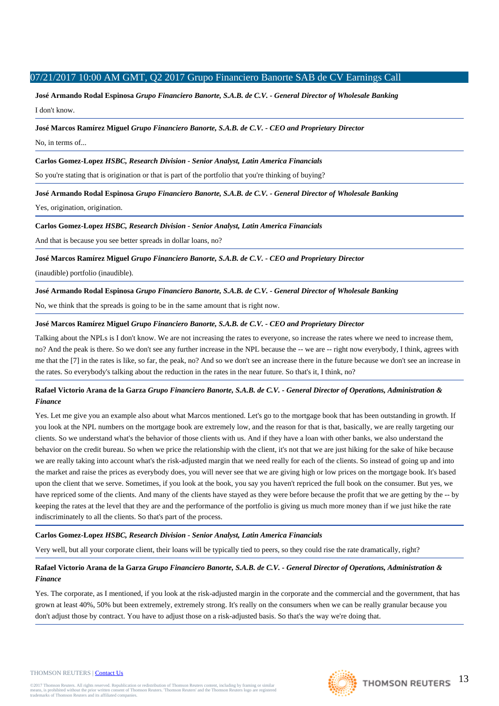**José Armando Rodal Espinosa** *Grupo Financiero Banorte, S.A.B. de C.V. - General Director of Wholesale Banking* I don't know.

## **José Marcos Ramírez Miguel** *Grupo Financiero Banorte, S.A.B. de C.V. - CEO and Proprietary Director*

No, in terms of...

# **Carlos Gomez-Lopez** *HSBC, Research Division - Senior Analyst, Latin America Financials*

So you're stating that is origination or that is part of the portfolio that you're thinking of buying?

**José Armando Rodal Espinosa** *Grupo Financiero Banorte, S.A.B. de C.V. - General Director of Wholesale Banking*

Yes, origination, origination.

**Carlos Gomez-Lopez** *HSBC, Research Division - Senior Analyst, Latin America Financials*

And that is because you see better spreads in dollar loans, no?

**José Marcos Ramírez Miguel** *Grupo Financiero Banorte, S.A.B. de C.V. - CEO and Proprietary Director*

(inaudible) portfolio (inaudible).

# **José Armando Rodal Espinosa** *Grupo Financiero Banorte, S.A.B. de C.V. - General Director of Wholesale Banking*

No, we think that the spreads is going to be in the same amount that is right now.

# **José Marcos Ramírez Miguel** *Grupo Financiero Banorte, S.A.B. de C.V. - CEO and Proprietary Director*

Talking about the NPLs is I don't know. We are not increasing the rates to everyone, so increase the rates where we need to increase them, no? And the peak is there. So we don't see any further increase in the NPL because the -- we are -- right now everybody, I think, agrees with me that the [7] in the rates is like, so far, the peak, no? And so we don't see an increase there in the future because we don't see an increase in the rates. So everybody's talking about the reduction in the rates in the near future. So that's it, I think, no?

# **Rafael Victorio Arana de la Garza** *Grupo Financiero Banorte, S.A.B. de C.V. - General Director of Operations, Administration & Finance*

Yes. Let me give you an example also about what Marcos mentioned. Let's go to the mortgage book that has been outstanding in growth. If you look at the NPL numbers on the mortgage book are extremely low, and the reason for that is that, basically, we are really targeting our clients. So we understand what's the behavior of those clients with us. And if they have a loan with other banks, we also understand the behavior on the credit bureau. So when we price the relationship with the client, it's not that we are just hiking for the sake of hike because we are really taking into account what's the risk-adjusted margin that we need really for each of the clients. So instead of going up and into the market and raise the prices as everybody does, you will never see that we are giving high or low prices on the mortgage book. It's based upon the client that we serve. Sometimes, if you look at the book, you say you haven't repriced the full book on the consumer. But yes, we have repriced some of the clients. And many of the clients have stayed as they were before because the profit that we are getting by the -- by keeping the rates at the level that they are and the performance of the portfolio is giving us much more money than if we just hike the rate indiscriminately to all the clients. So that's part of the process.

# **Carlos Gomez-Lopez** *HSBC, Research Division - Senior Analyst, Latin America Financials*

Very well, but all your corporate client, their loans will be typically tied to peers, so they could rise the rate dramatically, right?

# **Rafael Victorio Arana de la Garza** *Grupo Financiero Banorte, S.A.B. de C.V. - General Director of Operations, Administration & Finance*

Yes. The corporate, as I mentioned, if you look at the risk-adjusted margin in the corporate and the commercial and the government, that has grown at least 40%, 50% but been extremely, extremely strong. It's really on the consumers when we can be really granular because you don't adjust those by contract. You have to adjust those on a risk-adjusted basis. So that's the way we're doing that.

#### THOMSON REUTERS | [Contact Us](http://financial.thomsonreuters.com/en/contact-us.html)

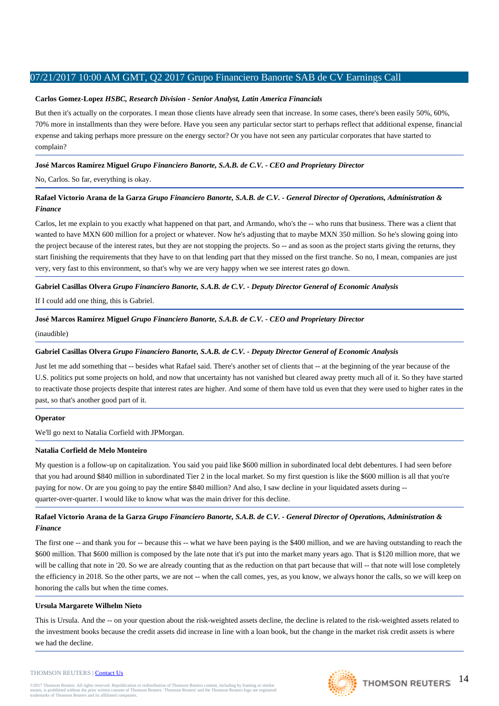## **Carlos Gomez-Lopez** *HSBC, Research Division - Senior Analyst, Latin America Financials*

But then it's actually on the corporates. I mean those clients have already seen that increase. In some cases, there's been easily 50%, 60%, 70% more in installments than they were before. Have you seen any particular sector start to perhaps reflect that additional expense, financial expense and taking perhaps more pressure on the energy sector? Or you have not seen any particular corporates that have started to complain?

# **José Marcos Ramírez Miguel** *Grupo Financiero Banorte, S.A.B. de C.V. - CEO and Proprietary Director*

No, Carlos. So far, everything is okay.

# **Rafael Victorio Arana de la Garza** *Grupo Financiero Banorte, S.A.B. de C.V. - General Director of Operations, Administration & Finance*

Carlos, let me explain to you exactly what happened on that part, and Armando, who's the -- who runs that business. There was a client that wanted to have MXN 600 million for a project or whatever. Now he's adjusting that to maybe MXN 350 million. So he's slowing going into the project because of the interest rates, but they are not stopping the projects. So -- and as soon as the project starts giving the returns, they start finishing the requirements that they have to on that lending part that they missed on the first tranche. So no, I mean, companies are just very, very fast to this environment, so that's why we are very happy when we see interest rates go down.

# **Gabriel Casillas Olvera** *Grupo Financiero Banorte, S.A.B. de C.V. - Deputy Director General of Economic Analysis*

If I could add one thing, this is Gabriel.

### **José Marcos Ramírez Miguel** *Grupo Financiero Banorte, S.A.B. de C.V. - CEO and Proprietary Director*

(inaudible)

# **Gabriel Casillas Olvera** *Grupo Financiero Banorte, S.A.B. de C.V. - Deputy Director General of Economic Analysis*

Just let me add something that -- besides what Rafael said. There's another set of clients that -- at the beginning of the year because of the U.S. politics put some projects on hold, and now that uncertainty has not vanished but cleared away pretty much all of it. So they have started to reactivate those projects despite that interest rates are higher. And some of them have told us even that they were used to higher rates in the past, so that's another good part of it.

#### **Operator**

We'll go next to Natalia Corfield with JPMorgan.

#### **Natalia Corfield de Melo Monteiro**

My question is a follow-up on capitalization. You said you paid like \$600 million in subordinated local debt debentures. I had seen before that you had around \$840 million in subordinated Tier 2 in the local market. So my first question is like the \$600 million is all that you're paying for now. Or are you going to pay the entire \$840 million? And also, I saw decline in your liquidated assets during - quarter-over-quarter. I would like to know what was the main driver for this decline.

# **Rafael Victorio Arana de la Garza** *Grupo Financiero Banorte, S.A.B. de C.V. - General Director of Operations, Administration & Finance*

The first one -- and thank you for -- because this -- what we have been paying is the \$400 million, and we are having outstanding to reach the \$600 million. That \$600 million is composed by the late note that it's put into the market many years ago. That is \$120 million more, that we will be calling that note in '20. So we are already counting that as the reduction on that part because that will -- that note will lose completely the efficiency in 2018. So the other parts, we are not -- when the call comes, yes, as you know, we always honor the calls, so we will keep on honoring the calls but when the time comes.

#### **Ursula Margarete Wilhelm Nieto**

This is Ursula. And the -- on your question about the risk-weighted assets decline, the decline is related to the risk-weighted assets related to the investment books because the credit assets did increase in line with a loan book, but the change in the market risk credit assets is where we had the decline.

#### THOMSON REUTERS | [Contact Us](http://financial.thomsonreuters.com/en/contact-us.html)

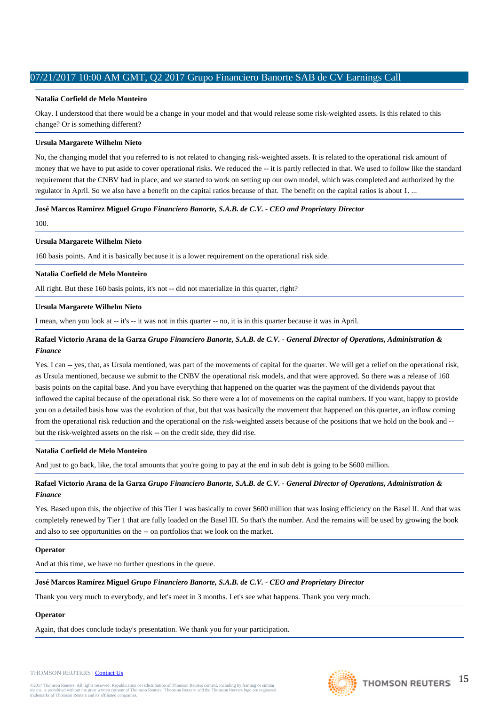## **Natalia Corfield de Melo Monteiro**

Okay. I understood that there would be a change in your model and that would release some risk-weighted assets. Is this related to this change? Or is something different?

### **Ursula Margarete Wilhelm Nieto**

No, the changing model that you referred to is not related to changing risk-weighted assets. It is related to the operational risk amount of money that we have to put aside to cover operational risks. We reduced the -- it is partly reflected in that. We used to follow like the standard requirement that the CNBV had in place, and we started to work on setting up our own model, which was completed and authorized by the regulator in April. So we also have a benefit on the capital ratios because of that. The benefit on the capital ratios is about 1. ...

**José Marcos Ramírez Miguel** *Grupo Financiero Banorte, S.A.B. de C.V. - CEO and Proprietary Director*

100.

# **Ursula Margarete Wilhelm Nieto**

160 basis points. And it is basically because it is a lower requirement on the operational risk side.

# **Natalia Corfield de Melo Monteiro**

All right. But these 160 basis points, it's not -- did not materialize in this quarter, right?

# **Ursula Margarete Wilhelm Nieto**

I mean, when you look at -- it's -- it was not in this quarter -- no, it is in this quarter because it was in April.

# **Rafael Victorio Arana de la Garza** *Grupo Financiero Banorte, S.A.B. de C.V. - General Director of Operations, Administration & Finance*

Yes. I can -- yes, that, as Ursula mentioned, was part of the movements of capital for the quarter. We will get a relief on the operational risk, as Ursula mentioned, because we submit to the CNBV the operational risk models, and that were approved. So there was a release of 160 basis points on the capital base. And you have everything that happened on the quarter was the payment of the dividends payout that inflowed the capital because of the operational risk. So there were a lot of movements on the capital numbers. If you want, happy to provide you on a detailed basis how was the evolution of that, but that was basically the movement that happened on this quarter, an inflow coming from the operational risk reduction and the operational on the risk-weighted assets because of the positions that we hold on the book and - but the risk-weighted assets on the risk -- on the credit side, they did rise.

# **Natalia Corfield de Melo Monteiro**

And just to go back, like, the total amounts that you're going to pay at the end in sub debt is going to be \$600 million.

# **Rafael Victorio Arana de la Garza** *Grupo Financiero Banorte, S.A.B. de C.V. - General Director of Operations, Administration & Finance*

Yes. Based upon this, the objective of this Tier 1 was basically to cover \$600 million that was losing efficiency on the Basel II. And that was completely renewed by Tier 1 that are fully loaded on the Basel III. So that's the number. And the remains will be used by growing the book and also to see opportunities on the -- on portfolios that we look on the market.

# **Operator**

And at this time, we have no further questions in the queue.

# **José Marcos Ramírez Miguel** *Grupo Financiero Banorte, S.A.B. de C.V. - CEO and Proprietary Director*

Thank you very much to everybody, and let's meet in 3 months. Let's see what happens. Thank you very much.

# **Operator**

Again, that does conclude today's presentation. We thank you for your participation.